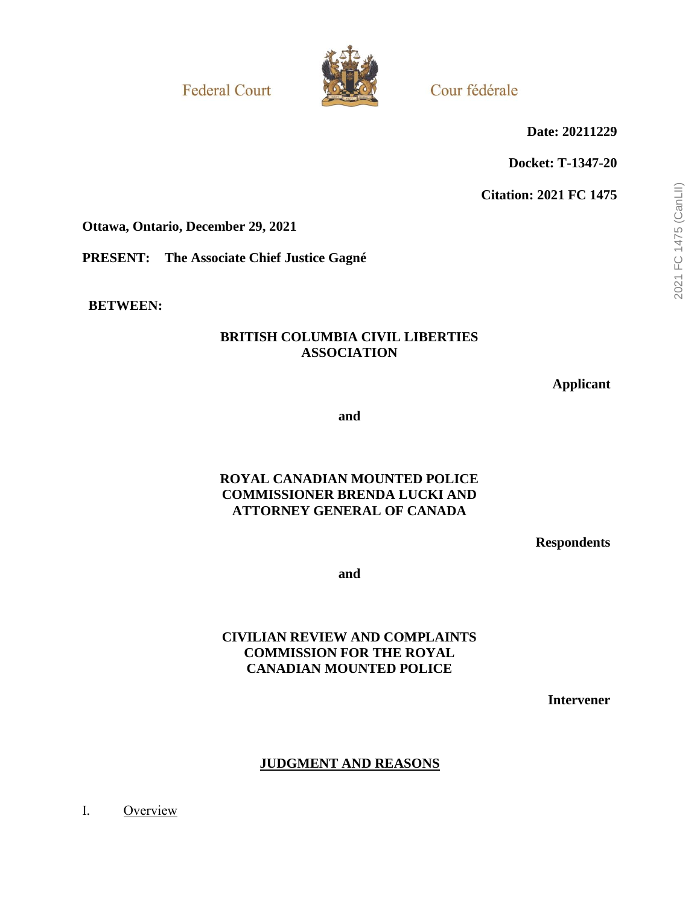**Federal Court** 



Cour fédérale

**Date: 20211229**

**Docket: T-1347-20**

**Citation: 2021 FC 1475**

**Ottawa, Ontario, December 29, 2021**

**PRESENT: The Associate Chief Justice Gagné**

**BETWEEN:**

# **BRITISH COLUMBIA CIVIL LIBERTIES ASSOCIATION**

**Applicant**

**and**

## **ROYAL CANADIAN MOUNTED POLICE COMMISSIONER BRENDA LUCKI AND ATTORNEY GENERAL OF CANADA**

**Respondents**

**and**

# **CIVILIAN REVIEW AND COMPLAINTS COMMISSION FOR THE ROYAL CANADIAN MOUNTED POLICE**

**Intervener**

# **JUDGMENT AND REASONS**

I. Overview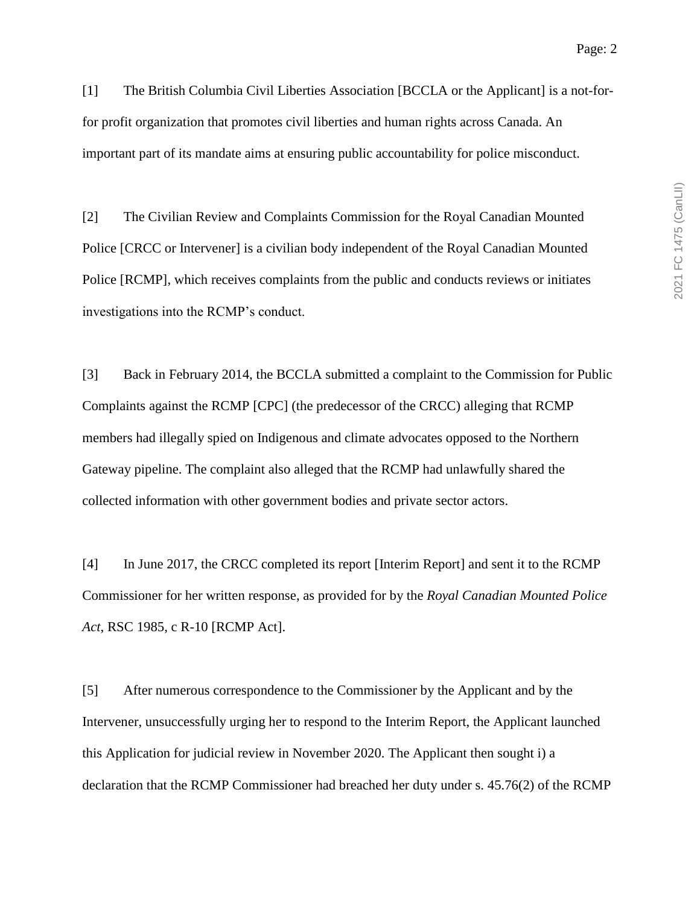[1] The British Columbia Civil Liberties Association [BCCLA or the Applicant] is a not-forfor profit organization that promotes civil liberties and human rights across Canada. An important part of its mandate aims at ensuring public accountability for police misconduct.

[2] The Civilian Review and Complaints Commission for the Royal Canadian Mounted Police [CRCC or Intervener] is a civilian body independent of the Royal Canadian Mounted Police [RCMP], which receives complaints from the public and conducts reviews or initiates investigations into the RCMP's conduct.

[3] Back in February 2014, the BCCLA submitted a complaint to the Commission for Public Complaints against the RCMP [CPC] (the predecessor of the CRCC) alleging that RCMP members had illegally spied on Indigenous and climate advocates opposed to the Northern Gateway pipeline. The complaint also alleged that the RCMP had unlawfully shared the collected information with other government bodies and private sector actors.

[4] In June 2017, the CRCC completed its report [Interim Report] and sent it to the RCMP Commissioner for her written response, as provided for by the *Royal Canadian Mounted Police Act*, RSC 1985, c R-10 [RCMP Act].

[5] After numerous correspondence to the Commissioner by the Applicant and by the Intervener, unsuccessfully urging her to respond to the Interim Report, the Applicant launched this Application for judicial review in November 2020. The Applicant then sought i) a declaration that the RCMP Commissioner had breached her duty under s. 45.76(2) of the RCMP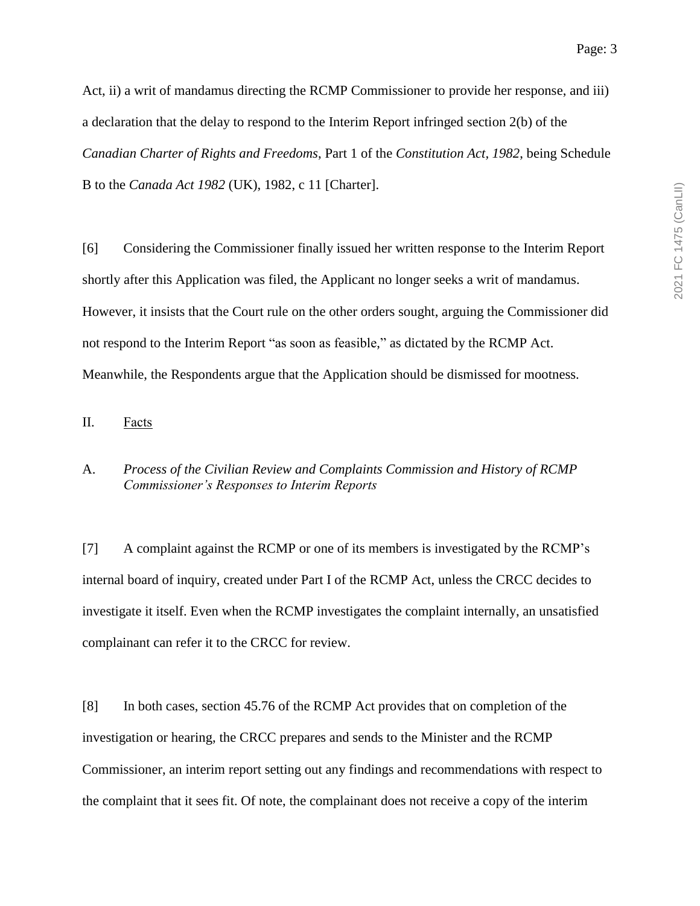Act, ii) a writ of mandamus directing the RCMP Commissioner to provide her response, and iii) a declaration that the delay to respond to the Interim Report infringed section 2(b) of the *Canadian Charter of Rights and Freedoms*, Part 1 of the *Constitution Act, 1982*, being Schedule B to the *Canada Act 1982* (UK), 1982, c 11 [Charter].

[6] Considering the Commissioner finally issued her written response to the Interim Report shortly after this Application was filed, the Applicant no longer seeks a writ of mandamus. However, it insists that the Court rule on the other orders sought, arguing the Commissioner did not respond to the Interim Report "as soon as feasible," as dictated by the RCMP Act. Meanwhile, the Respondents argue that the Application should be dismissed for mootness.

### II. Facts

#### A. *Process of the Civilian Review and Complaints Commission and History of RCMP Commissioner's Responses to Interim Reports*

[7] A complaint against the RCMP or one of its members is investigated by the RCMP's internal board of inquiry, created under Part I of the RCMP Act, unless the CRCC decides to investigate it itself. Even when the RCMP investigates the complaint internally, an unsatisfied complainant can refer it to the CRCC for review.

[8] In both cases, section 45.76 of the RCMP Act provides that on completion of the investigation or hearing, the CRCC prepares and sends to the Minister and the RCMP Commissioner, an interim report setting out any findings and recommendations with respect to the complaint that it sees fit. Of note, the complainant does not receive a copy of the interim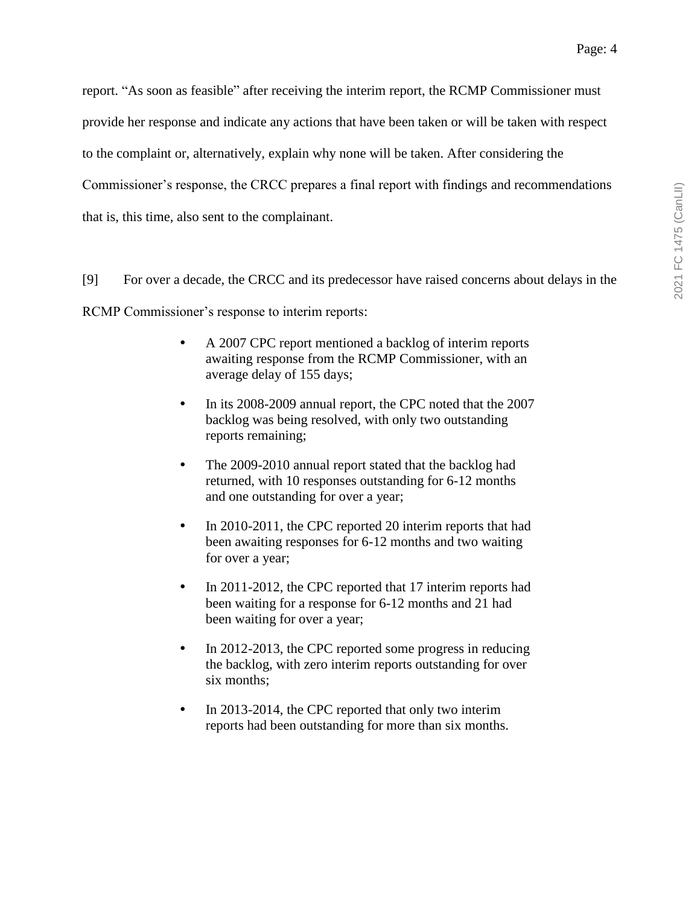report. "As soon as feasible" after receiving the interim report, the RCMP Commissioner must provide her response and indicate any actions that have been taken or will be taken with respect to the complaint or, alternatively, explain why none will be taken. After considering the Commissioner's response, the CRCC prepares a final report with findings and recommendations that is, this time, also sent to the complainant.

[9] For over a decade, the CRCC and its predecessor have raised concerns about delays in the

RCMP Commissioner's response to interim reports:

- A 2007 CPC report mentioned a backlog of interim reports awaiting response from the RCMP Commissioner, with an average delay of 155 days;
- In its 2008-2009 annual report, the CPC noted that the 2007 backlog was being resolved, with only two outstanding reports remaining;
- The 2009-2010 annual report stated that the backlog had returned, with 10 responses outstanding for 6-12 months and one outstanding for over a year;
- In 2010-2011, the CPC reported 20 interim reports that had been awaiting responses for 6-12 months and two waiting for over a year;
- In 2011-2012, the CPC reported that 17 interim reports had been waiting for a response for 6-12 months and 21 had been waiting for over a year;
- In 2012-2013, the CPC reported some progress in reducing the backlog, with zero interim reports outstanding for over six months;
- In 2013-2014, the CPC reported that only two interim reports had been outstanding for more than six months.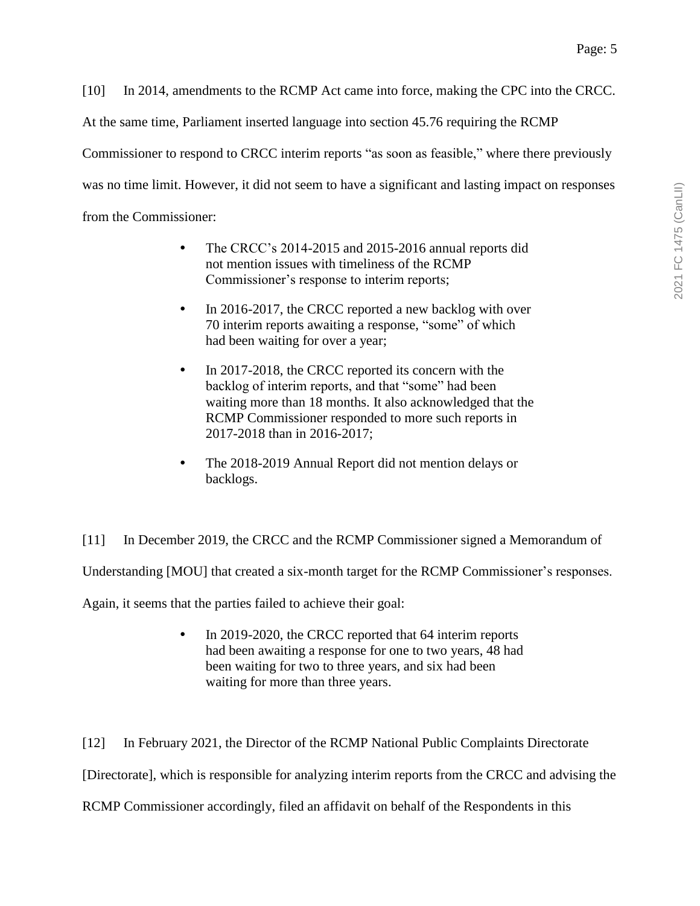[10] In 2014, amendments to the RCMP Act came into force, making the CPC into the CRCC.

At the same time, Parliament inserted language into section 45.76 requiring the RCMP

Commissioner to respond to CRCC interim reports "as soon as feasible," where there previously

was no time limit. However, it did not seem to have a significant and lasting impact on responses

from the Commissioner:

- The CRCC's 2014-2015 and 2015-2016 annual reports did not mention issues with timeliness of the RCMP Commissioner's response to interim reports;
- In 2016-2017, the CRCC reported a new backlog with over 70 interim reports awaiting a response, "some" of which had been waiting for over a year;
- In 2017-2018, the CRCC reported its concern with the backlog of interim reports, and that "some" had been waiting more than 18 months. It also acknowledged that the RCMP Commissioner responded to more such reports in 2017-2018 than in 2016-2017;
- The 2018-2019 Annual Report did not mention delays or backlogs.

[11] In December 2019, the CRCC and the RCMP Commissioner signed a Memorandum of Understanding [MOU] that created a six-month target for the RCMP Commissioner's responses. Again, it seems that the parties failed to achieve their goal:

> • In 2019-2020, the CRCC reported that 64 interim reports had been awaiting a response for one to two years, 48 had been waiting for two to three years, and six had been waiting for more than three years.

[12] In February 2021, the Director of the RCMP National Public Complaints Directorate [Directorate], which is responsible for analyzing interim reports from the CRCC and advising the RCMP Commissioner accordingly, filed an affidavit on behalf of the Respondents in this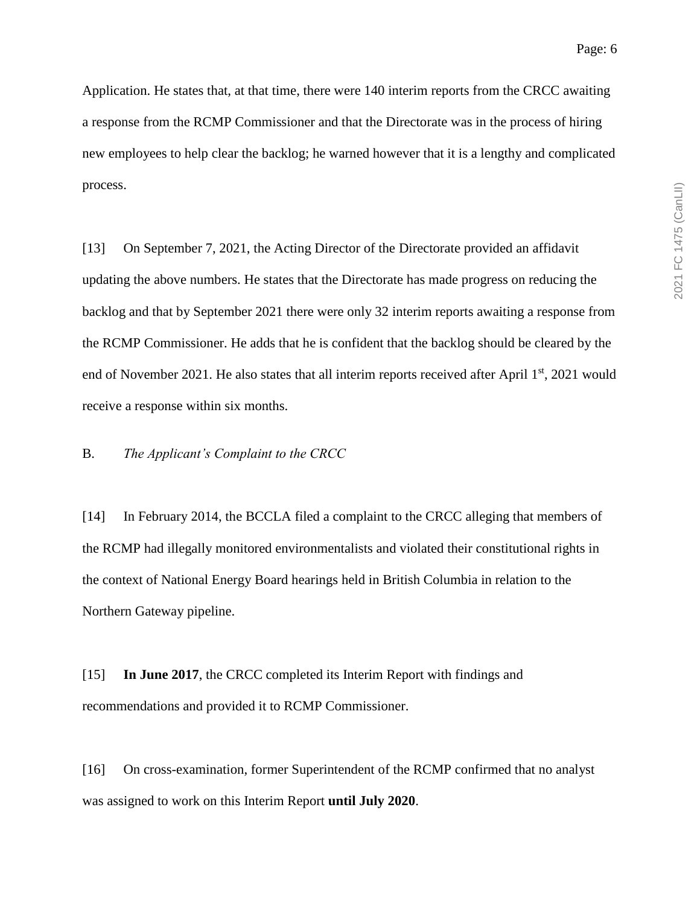Application. He states that, at that time, there were 140 interim reports from the CRCC awaiting a response from the RCMP Commissioner and that the Directorate was in the process of hiring new employees to help clear the backlog; he warned however that it is a lengthy and complicated process.

[13] On September 7, 2021, the Acting Director of the Directorate provided an affidavit updating the above numbers. He states that the Directorate has made progress on reducing the backlog and that by September 2021 there were only 32 interim reports awaiting a response from the RCMP Commissioner. He adds that he is confident that the backlog should be cleared by the end of November 2021. He also states that all interim reports received after April 1<sup>st</sup>, 2021 would receive a response within six months.

B. *The Applicant's Complaint to the CRCC*

[14] In February 2014, the BCCLA filed a complaint to the CRCC alleging that members of the RCMP had illegally monitored environmentalists and violated their constitutional rights in the context of National Energy Board hearings held in British Columbia in relation to the Northern Gateway pipeline.

[15] **In June 2017**, the CRCC completed its Interim Report with findings and recommendations and provided it to RCMP Commissioner.

[16] On cross-examination, former Superintendent of the RCMP confirmed that no analyst was assigned to work on this Interim Report **until July 2020**.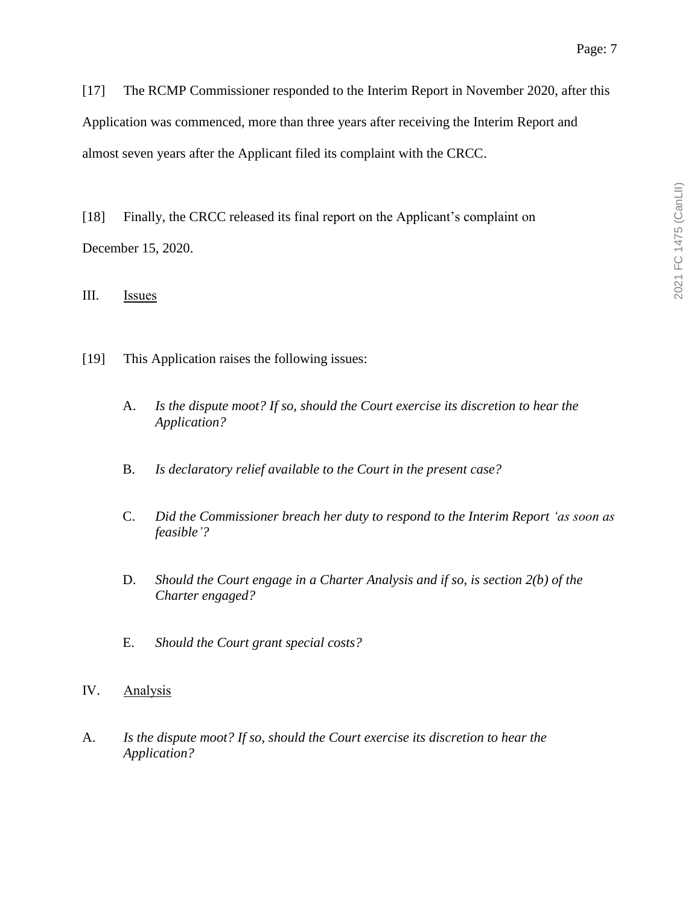[17] The RCMP Commissioner responded to the Interim Report in November 2020, after this Application was commenced, more than three years after receiving the Interim Report and almost seven years after the Applicant filed its complaint with the CRCC.

[18] Finally, the CRCC released its final report on the Applicant's complaint on December 15, 2020.

III. Issues

- [19] This Application raises the following issues:
	- A. *Is the dispute moot? If so, should the Court exercise its discretion to hear the Application?*
	- B. *Is declaratory relief available to the Court in the present case?*
	- C. *Did the Commissioner breach her duty to respond to the Interim Report 'as soon as feasible'?*
	- D. *Should the Court engage in a Charter Analysis and if so, is section 2(b) of the Charter engaged?*
	- E. *Should the Court grant special costs?*
- IV. Analysis
- A. *Is the dispute moot? If so, should the Court exercise its discretion to hear the Application?*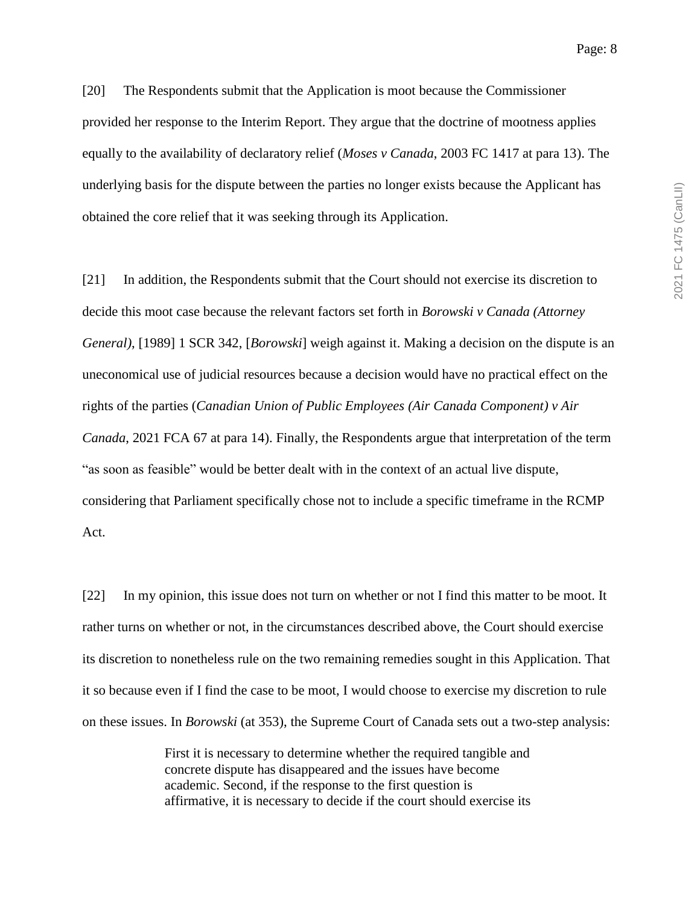[20] The Respondents submit that the Application is moot because the Commissioner provided her response to the Interim Report. They argue that the doctrine of mootness applies equally to the availability of declaratory relief (*Moses v Canada*, 2003 FC 1417 at para 13). The underlying basis for the dispute between the parties no longer exists because the Applicant has obtained the core relief that it was seeking through its Application.

[21] In addition, the Respondents submit that the Court should not exercise its discretion to decide this moot case because the relevant factors set forth in *Borowski v Canada (Attorney General)*, [1989] 1 SCR 342, [*Borowski*] weigh against it. Making a decision on the dispute is an uneconomical use of judicial resources because a decision would have no practical effect on the rights of the parties (*Canadian Union of Public Employees (Air Canada Component) v Air Canada*, 2021 FCA 67 at para 14). Finally, the Respondents argue that interpretation of the term "as soon as feasible" would be better dealt with in the context of an actual live dispute, considering that Parliament specifically chose not to include a specific timeframe in the RCMP Act.

[22] In my opinion, this issue does not turn on whether or not I find this matter to be moot. It rather turns on whether or not, in the circumstances described above, the Court should exercise its discretion to nonetheless rule on the two remaining remedies sought in this Application. That it so because even if I find the case to be moot, I would choose to exercise my discretion to rule on these issues. In *Borowski* (at 353), the Supreme Court of Canada sets out a two-step analysis:

> First it is necessary to determine whether the required tangible and concrete dispute has disappeared and the issues have become academic. Second, if the response to the first question is affirmative, it is necessary to decide if the court should exercise its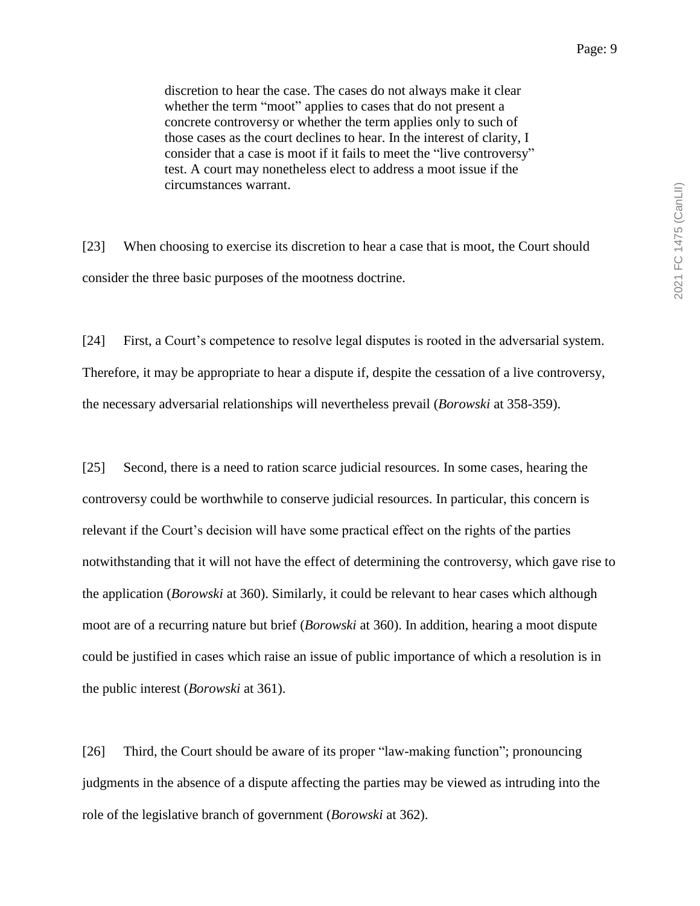discretion to hear the case. The cases do not always make it clear whether the term "moot" applies to cases that do not present a concrete controversy or whether the term applies only to such of those cases as the court declines to hear. In the interest of clarity, I consider that a case is moot if it fails to meet the "live controversy" test. A court may nonetheless elect to address a moot issue if the circumstances warrant.

[23] When choosing to exercise its discretion to hear a case that is moot, the Court should consider the three basic purposes of the mootness doctrine.

[24] First, a Court's competence to resolve legal disputes is rooted in the adversarial system. Therefore, it may be appropriate to hear a dispute if, despite the cessation of a live controversy, the necessary adversarial relationships will nevertheless prevail (*Borowski* at 358-359).

[25] Second, there is a need to ration scarce judicial resources. In some cases, hearing the controversy could be worthwhile to conserve judicial resources. In particular, this concern is relevant if the Court's decision will have some practical effect on the rights of the parties notwithstanding that it will not have the effect of determining the controversy, which gave rise to the application (*Borowski* at 360). Similarly, it could be relevant to hear cases which although moot are of a recurring nature but brief (*Borowski* at 360). In addition, hearing a moot dispute could be justified in cases which raise an issue of public importance of which a resolution is in the public interest (*Borowski* at 361).

[26] Third, the Court should be aware of its proper "law-making function"; pronouncing judgments in the absence of a dispute affecting the parties may be viewed as intruding into the role of the legislative branch of government (*Borowski* at 362).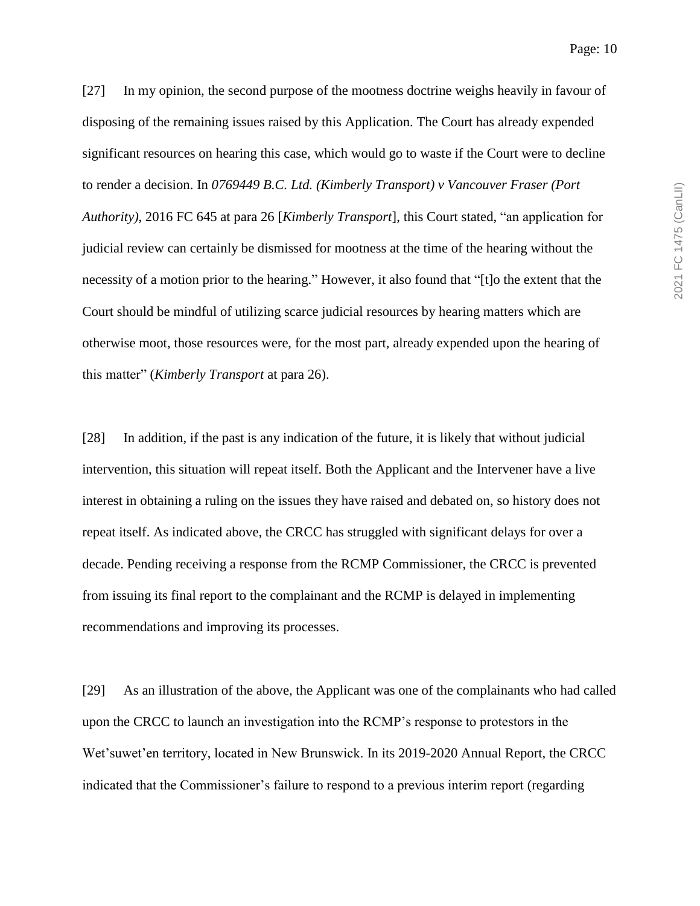[27] In my opinion, the second purpose of the mootness doctrine weighs heavily in favour of disposing of the remaining issues raised by this Application. The Court has already expended significant resources on hearing this case, which would go to waste if the Court were to decline to render a decision. In *0769449 B.C. Ltd. (Kimberly Transport) v Vancouver Fraser (Port Authority)*, 2016 FC 645 at para 26 [*Kimberly Transport*], this Court stated, "an application for judicial review can certainly be dismissed for mootness at the time of the hearing without the necessity of a motion prior to the hearing." However, it also found that "[t]o the extent that the Court should be mindful of utilizing scarce judicial resources by hearing matters which are otherwise moot, those resources were, for the most part, already expended upon the hearing of this matter" (*Kimberly Transport* at para 26).

[28] In addition, if the past is any indication of the future, it is likely that without judicial intervention, this situation will repeat itself. Both the Applicant and the Intervener have a live interest in obtaining a ruling on the issues they have raised and debated on, so history does not repeat itself. As indicated above, the CRCC has struggled with significant delays for over a decade. Pending receiving a response from the RCMP Commissioner, the CRCC is prevented from issuing its final report to the complainant and the RCMP is delayed in implementing recommendations and improving its processes.

[29] As an illustration of the above, the Applicant was one of the complainants who had called upon the CRCC to launch an investigation into the RCMP's response to protestors in the Wet'suwet'en territory, located in New Brunswick. In its 2019-2020 Annual Report, the CRCC indicated that the Commissioner's failure to respond to a previous interim report (regarding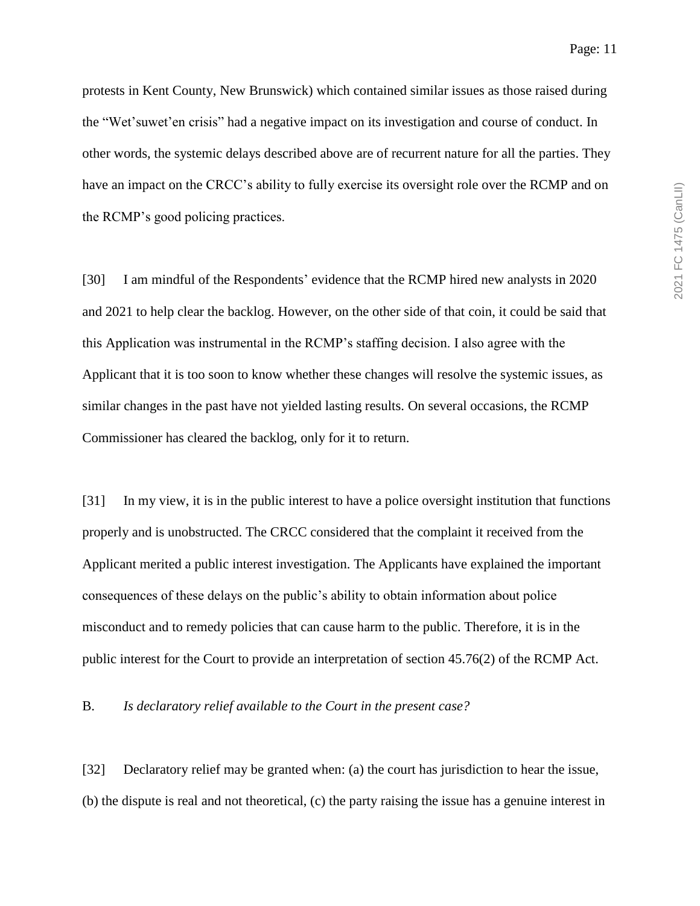protests in Kent County, New Brunswick) which contained similar issues as those raised during the "Wet'suwet'en crisis" had a negative impact on its investigation and course of conduct. In other words, the systemic delays described above are of recurrent nature for all the parties. They have an impact on the CRCC's ability to fully exercise its oversight role over the RCMP and on the RCMP's good policing practices.

[30] I am mindful of the Respondents' evidence that the RCMP hired new analysts in 2020 and 2021 to help clear the backlog. However, on the other side of that coin, it could be said that this Application was instrumental in the RCMP's staffing decision. I also agree with the Applicant that it is too soon to know whether these changes will resolve the systemic issues, as similar changes in the past have not yielded lasting results. On several occasions, the RCMP Commissioner has cleared the backlog, only for it to return.

[31] In my view, it is in the public interest to have a police oversight institution that functions properly and is unobstructed. The CRCC considered that the complaint it received from the Applicant merited a public interest investigation. The Applicants have explained the important consequences of these delays on the public's ability to obtain information about police misconduct and to remedy policies that can cause harm to the public. Therefore, it is in the public interest for the Court to provide an interpretation of section 45.76(2) of the RCMP Act.

B. *Is declaratory relief available to the Court in the present case?*

[32] Declaratory relief may be granted when: (a) the court has jurisdiction to hear the issue, (b) the dispute is real and not theoretical, (c) the party raising the issue has a genuine interest in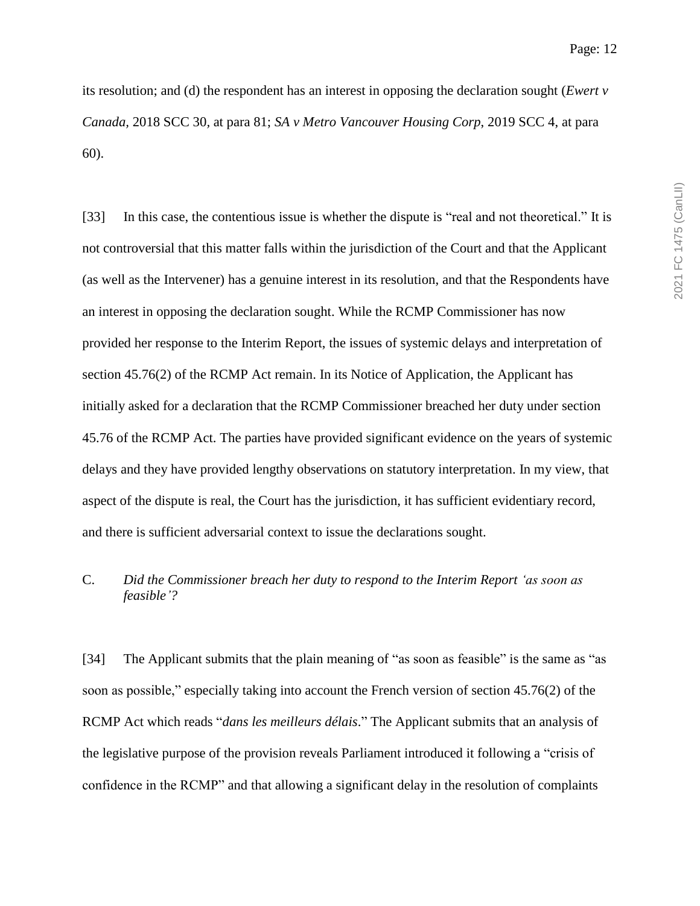its resolution; and (d) the respondent has an interest in opposing the declaration sought (*Ewert v Canada,* 2018 SCC 30*,* at para 81; *SA v Metro Vancouver Housing Corp*, 2019 SCC 4, at para 60).

[33] In this case, the contentious issue is whether the dispute is "real and not theoretical." It is not controversial that this matter falls within the jurisdiction of the Court and that the Applicant (as well as the Intervener) has a genuine interest in its resolution, and that the Respondents have an interest in opposing the declaration sought. While the RCMP Commissioner has now provided her response to the Interim Report, the issues of systemic delays and interpretation of section 45.76(2) of the RCMP Act remain. In its Notice of Application, the Applicant has initially asked for a declaration that the RCMP Commissioner breached her duty under section 45.76 of the RCMP Act. The parties have provided significant evidence on the years of systemic delays and they have provided lengthy observations on statutory interpretation. In my view, that aspect of the dispute is real, the Court has the jurisdiction, it has sufficient evidentiary record, and there is sufficient adversarial context to issue the declarations sought.

# C. *Did the Commissioner breach her duty to respond to the Interim Report 'as soon as feasible'?*

[34] The Applicant submits that the plain meaning of "as soon as feasible" is the same as "as soon as possible," especially taking into account the French version of section 45.76(2) of the RCMP Act which reads "*dans les meilleurs délais*." The Applicant submits that an analysis of the legislative purpose of the provision reveals Parliament introduced it following a "crisis of confidence in the RCMP" and that allowing a significant delay in the resolution of complaints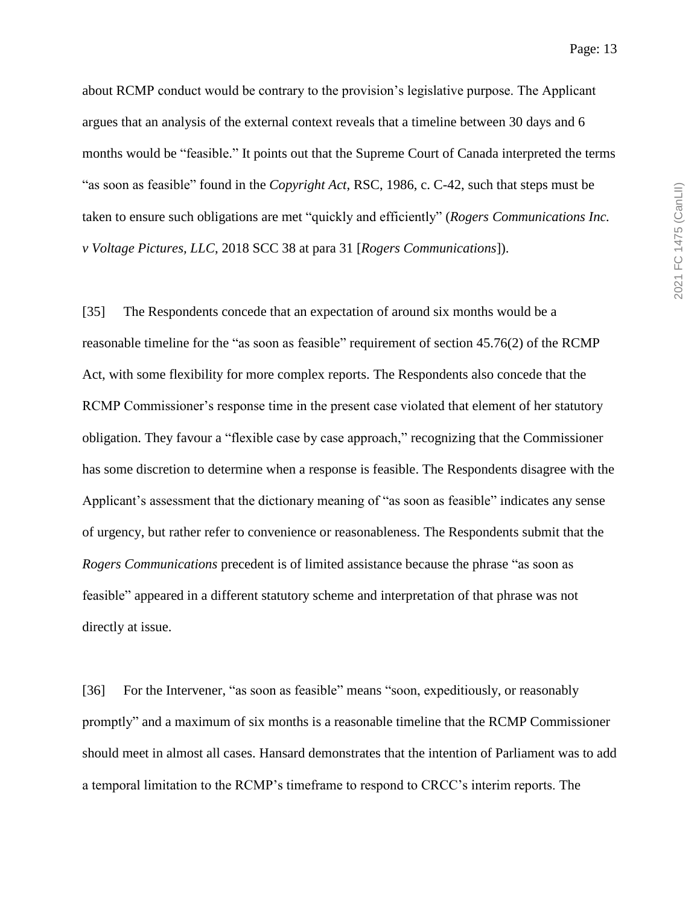about RCMP conduct would be contrary to the provision's legislative purpose. The Applicant argues that an analysis of the external context reveals that a timeline between 30 days and 6 months would be "feasible." It points out that the Supreme Court of Canada interpreted the terms "as soon as feasible" found in the *Copyright Act*, RSC, 1986, c. C-42, such that steps must be taken to ensure such obligations are met "quickly and efficiently" (*Rogers Communications Inc. v Voltage Pictures, LLC*, 2018 SCC 38 at para 31 [*Rogers Communications*]).

[35] The Respondents concede that an expectation of around six months would be a reasonable timeline for the "as soon as feasible" requirement of section 45.76(2) of the RCMP Act, with some flexibility for more complex reports. The Respondents also concede that the RCMP Commissioner's response time in the present case violated that element of her statutory obligation. They favour a "flexible case by case approach," recognizing that the Commissioner has some discretion to determine when a response is feasible. The Respondents disagree with the Applicant's assessment that the dictionary meaning of "as soon as feasible" indicates any sense of urgency, but rather refer to convenience or reasonableness. The Respondents submit that the *Rogers Communications* precedent is of limited assistance because the phrase "as soon as feasible" appeared in a different statutory scheme and interpretation of that phrase was not directly at issue.

[36] For the Intervener, "as soon as feasible" means "soon, expeditiously, or reasonably promptly" and a maximum of six months is a reasonable timeline that the RCMP Commissioner should meet in almost all cases. Hansard demonstrates that the intention of Parliament was to add a temporal limitation to the RCMP's timeframe to respond to CRCC's interim reports. The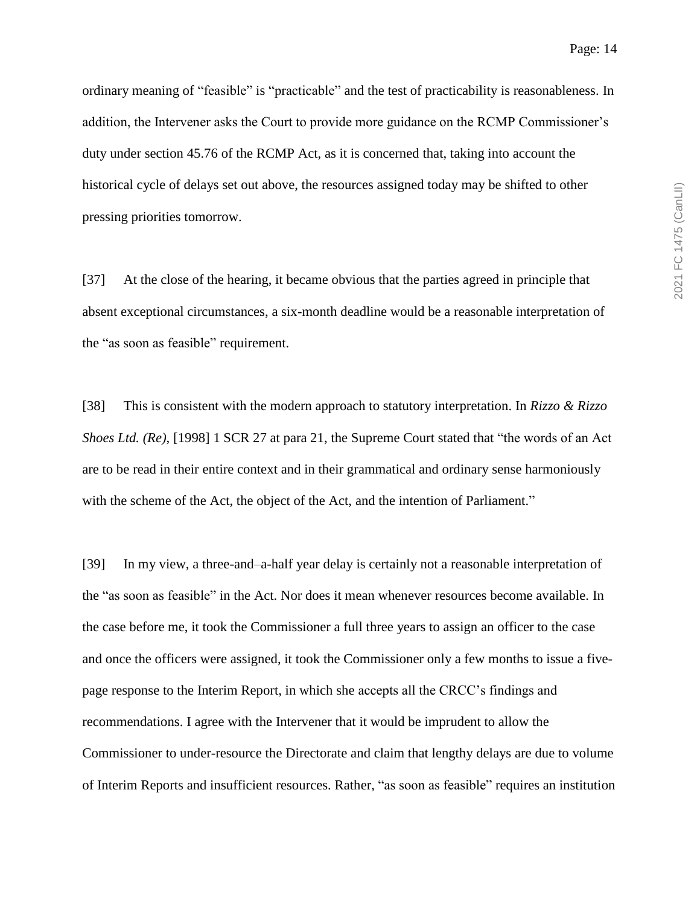ordinary meaning of "feasible" is "practicable" and the test of practicability is reasonableness. In addition, the Intervener asks the Court to provide more guidance on the RCMP Commissioner's duty under section 45.76 of the RCMP Act, as it is concerned that, taking into account the historical cycle of delays set out above, the resources assigned today may be shifted to other pressing priorities tomorrow.

[37] At the close of the hearing, it became obvious that the parties agreed in principle that absent exceptional circumstances, a six-month deadline would be a reasonable interpretation of the "as soon as feasible" requirement.

[38] This is consistent with the modern approach to statutory interpretation. In *Rizzo & Rizzo Shoes Ltd. (Re)*, [1998] 1 SCR 27 at para 21, the Supreme Court stated that "the words of an Act are to be read in their entire context and in their grammatical and ordinary sense harmoniously with the scheme of the Act, the object of the Act, and the intention of Parliament."

[39] In my view, a three-and–a-half year delay is certainly not a reasonable interpretation of the "as soon as feasible" in the Act. Nor does it mean whenever resources become available. In the case before me, it took the Commissioner a full three years to assign an officer to the case and once the officers were assigned, it took the Commissioner only a few months to issue a fivepage response to the Interim Report, in which she accepts all the CRCC's findings and recommendations. I agree with the Intervener that it would be imprudent to allow the Commissioner to under-resource the Directorate and claim that lengthy delays are due to volume of Interim Reports and insufficient resources. Rather, "as soon as feasible" requires an institution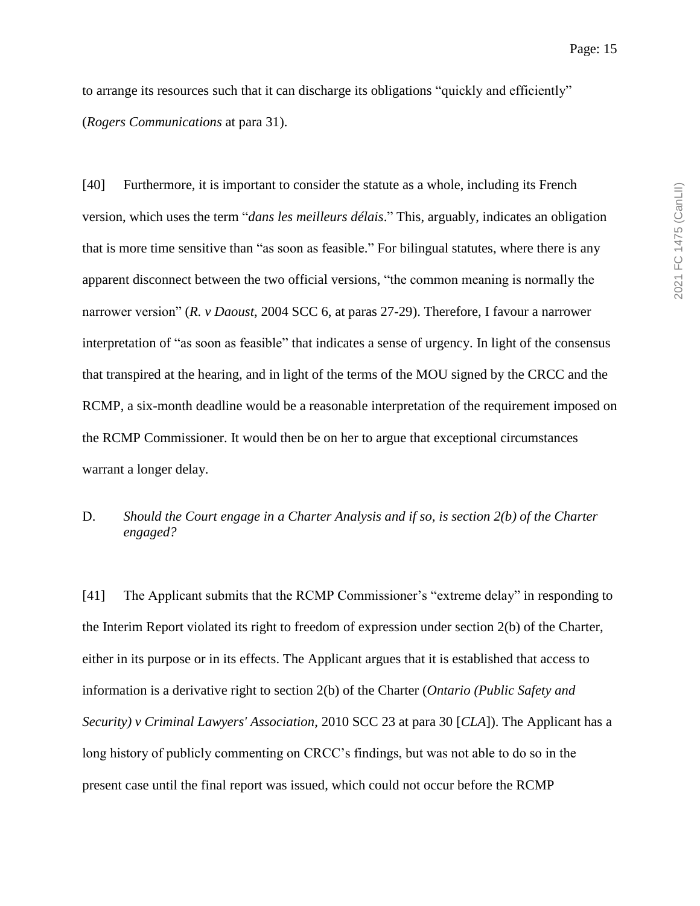to arrange its resources such that it can discharge its obligations "quickly and efficiently" (*Rogers Communications* at para 31).

[40] Furthermore, it is important to consider the statute as a whole, including its French version, which uses the term "*dans les meilleurs délais*." This, arguably, indicates an obligation that is more time sensitive than "as soon as feasible." For bilingual statutes, where there is any apparent disconnect between the two official versions, "the common meaning is normally the narrower version" (*R. v Daoust*, 2004 SCC 6, at paras 27-29). Therefore, I favour a narrower interpretation of "as soon as feasible" that indicates a sense of urgency. In light of the consensus that transpired at the hearing, and in light of the terms of the MOU signed by the CRCC and the RCMP, a six-month deadline would be a reasonable interpretation of the requirement imposed on the RCMP Commissioner. It would then be on her to argue that exceptional circumstances warrant a longer delay.

# D. *Should the Court engage in a Charter Analysis and if so, is section 2(b) of the Charter engaged?*

[41] The Applicant submits that the RCMP Commissioner's "extreme delay" in responding to the Interim Report violated its right to freedom of expression under section 2(b) of the Charter, either in its purpose or in its effects. The Applicant argues that it is established that access to information is a derivative right to section 2(b) of the Charter (*Ontario (Public Safety and Security) v Criminal Lawyers' Association*, 2010 SCC 23 at para 30 [*CLA*]). The Applicant has a long history of publicly commenting on CRCC's findings, but was not able to do so in the present case until the final report was issued, which could not occur before the RCMP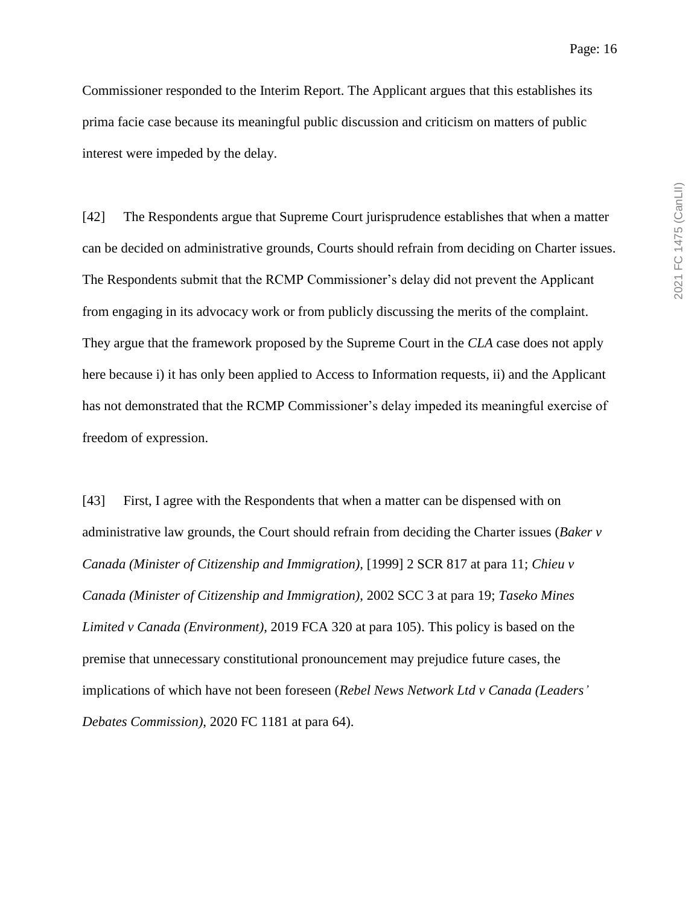Commissioner responded to the Interim Report. The Applicant argues that this establishes its prima facie case because its meaningful public discussion and criticism on matters of public interest were impeded by the delay.

[42] The Respondents argue that Supreme Court jurisprudence establishes that when a matter can be decided on administrative grounds, Courts should refrain from deciding on Charter issues. The Respondents submit that the RCMP Commissioner's delay did not prevent the Applicant from engaging in its advocacy work or from publicly discussing the merits of the complaint. They argue that the framework proposed by the Supreme Court in the *CLA* case does not apply here because i) it has only been applied to Access to Information requests, ii) and the Applicant has not demonstrated that the RCMP Commissioner's delay impeded its meaningful exercise of freedom of expression.

[43] First, I agree with the Respondents that when a matter can be dispensed with on administrative law grounds, the Court should refrain from deciding the Charter issues (*Baker v Canada (Minister of Citizenship and Immigration)*, [1999] 2 SCR 817 at para 11; *Chieu v Canada (Minister of Citizenship and Immigration)*, 2002 SCC 3 at para 19; *Taseko Mines Limited v Canada (Environment)*, 2019 FCA 320 at para 105). This policy is based on the premise that unnecessary constitutional pronouncement may prejudice future cases, the implications of which have not been foreseen (*Rebel News Network Ltd v Canada (Leaders' Debates Commission)*, 2020 FC 1181 at para 64).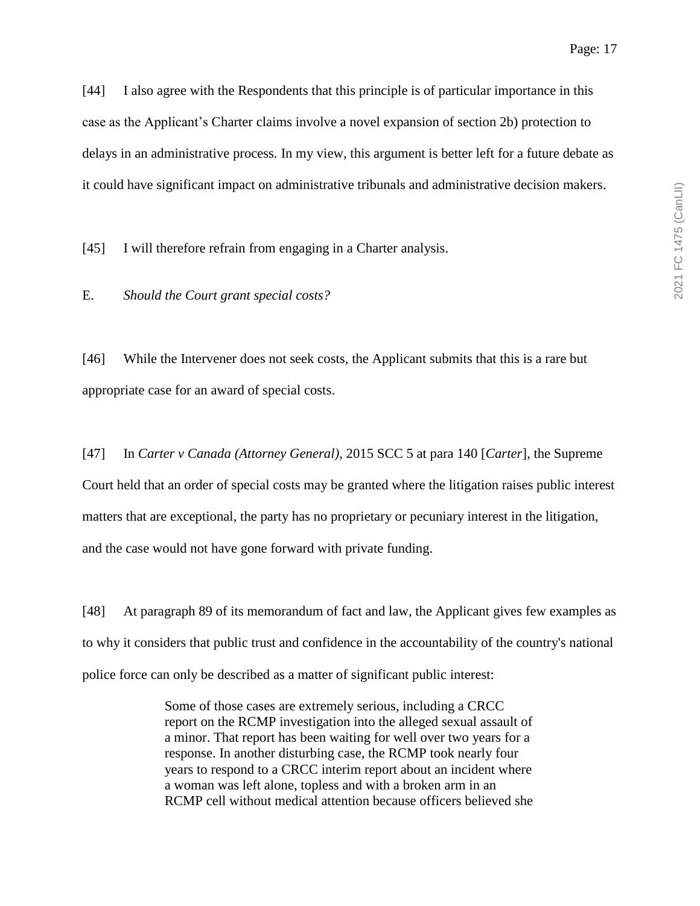it could have significant impact on administrative tribunals and administrative decision makers.

[45] I will therefore refrain from engaging in a Charter analysis.

E. *Should the Court grant special costs?*

[46] While the Intervener does not seek costs, the Applicant submits that this is a rare but appropriate case for an award of special costs.

[47] In *Carter v Canada (Attorney General)*, 2015 SCC 5 at para 140 [*Carter*], the Supreme Court held that an order of special costs may be granted where the litigation raises public interest matters that are exceptional, the party has no proprietary or pecuniary interest in the litigation, and the case would not have gone forward with private funding.

[48] At paragraph 89 of its memorandum of fact and law, the Applicant gives few examples as to why it considers that public trust and confidence in the accountability of the country's national police force can only be described as a matter of significant public interest:

> Some of those cases are extremely serious, including a CRCC report on the RCMP investigation into the alleged sexual assault of a minor. That report has been waiting for well over two years for a response. In another disturbing case, the RCMP took nearly four years to respond to a CRCC interim report about an incident where a woman was left alone, topless and with a broken arm in an RCMP cell without medical attention because officers believed she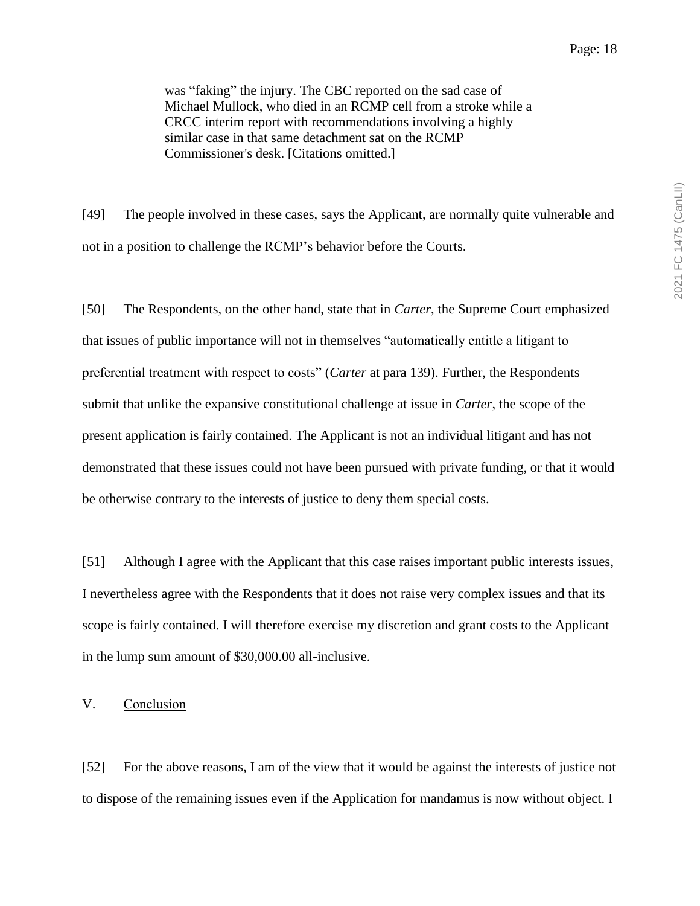was "faking" the injury. The CBC reported on the sad case of Michael Mullock, who died in an RCMP cell from a stroke while a CRCC interim report with recommendations involving a highly similar case in that same detachment sat on the RCMP Commissioner's desk. [Citations omitted.]

[49] The people involved in these cases, says the Applicant, are normally quite vulnerable and not in a position to challenge the RCMP's behavior before the Courts.

[50] The Respondents, on the other hand, state that in *Carter*, the Supreme Court emphasized that issues of public importance will not in themselves "automatically entitle a litigant to preferential treatment with respect to costs" (*Carter* at para 139). Further, the Respondents submit that unlike the expansive constitutional challenge at issue in *Carter*, the scope of the present application is fairly contained. The Applicant is not an individual litigant and has not demonstrated that these issues could not have been pursued with private funding, or that it would be otherwise contrary to the interests of justice to deny them special costs.

[51] Although I agree with the Applicant that this case raises important public interests issues, I nevertheless agree with the Respondents that it does not raise very complex issues and that its scope is fairly contained. I will therefore exercise my discretion and grant costs to the Applicant in the lump sum amount of \$30,000.00 all-inclusive.

V. Conclusion

[52] For the above reasons, I am of the view that it would be against the interests of justice not to dispose of the remaining issues even if the Application for mandamus is now without object. I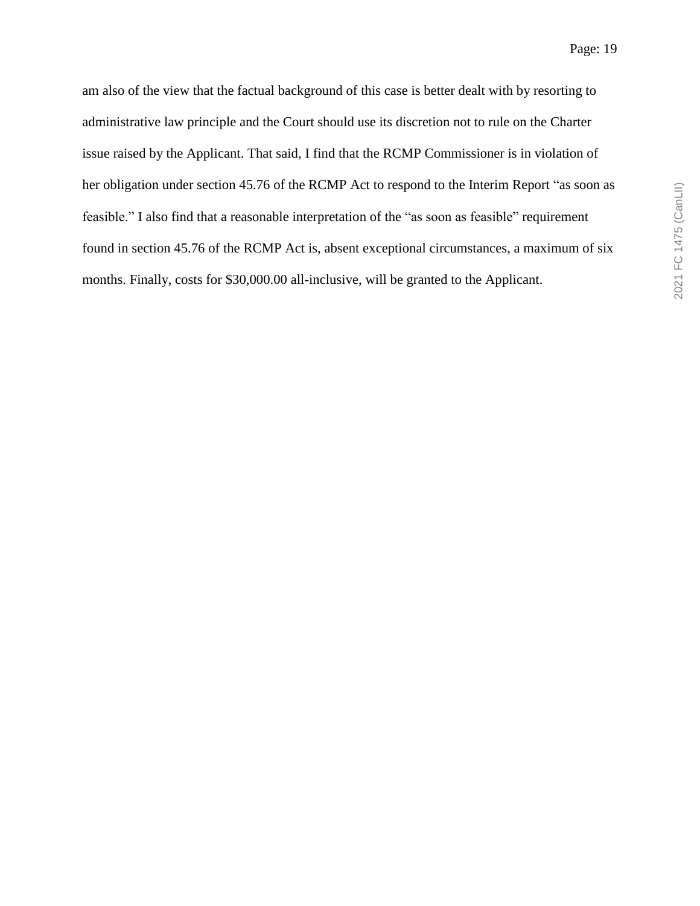am also of the view that the factual background of this case is better dealt with by resorting to administrative law principle and the Court should use its discretion not to rule on the Charter issue raised by the Applicant. That said, I find that the RCMP Commissioner is in violation of her obligation under section 45.76 of the RCMP Act to respond to the Interim Report "as soon as feasible." I also find that a reasonable interpretation of the "as soon as feasible" requirement found in section 45.76 of the RCMP Act is, absent exceptional circumstances, a maximum of six months. Finally, costs for \$30,000.00 all-inclusive, will be granted to the Applicant.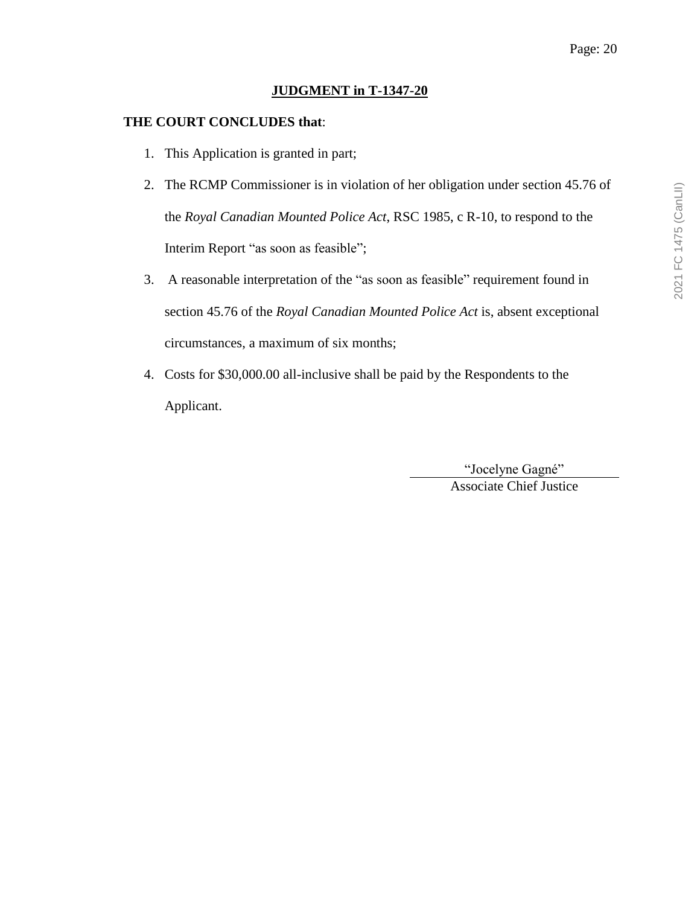#### **JUDGMENT in T-1347-20**

#### **THE COURT CONCLUDES that**:

- 1. This Application is granted in part;
- 2. The RCMP Commissioner is in violation of her obligation under section 45.76 of the *Royal Canadian Mounted Police Act*, RSC 1985, c R-10, to respond to the Interim Report "as soon as feasible";
- 3. A reasonable interpretation of the "as soon as feasible" requirement found in section 45.76 of the *Royal Canadian Mounted Police Act* is, absent exceptional circumstances, a maximum of six months;
- 4. Costs for \$30,000.00 all-inclusive shall be paid by the Respondents to the Applicant.

"Jocelyne Gagné" Associate Chief Justice